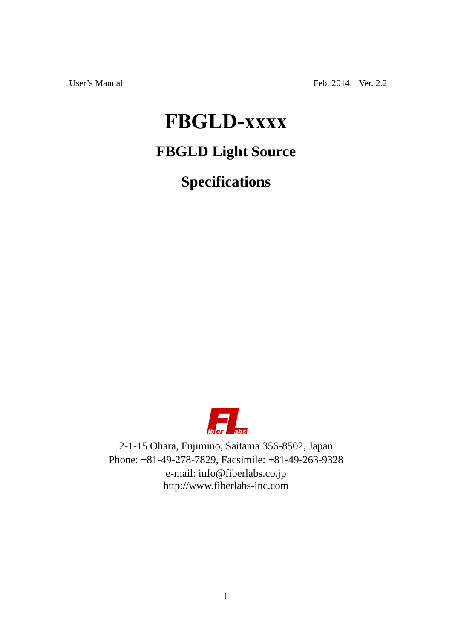User's Manual Feb. 2014 Ver. 2.2

# **FBGLD-xxxx**

## **FBGLD Light Source**

**Specifications**



2-1-15 Ohara, Fujimino, Saitama 356-8502, Japan Phone: +81-49-278-7829, Facsimile: +81-49-263-9328 e-mail: info@fiberlabs.co.jp http://www.fiberlabs-inc.com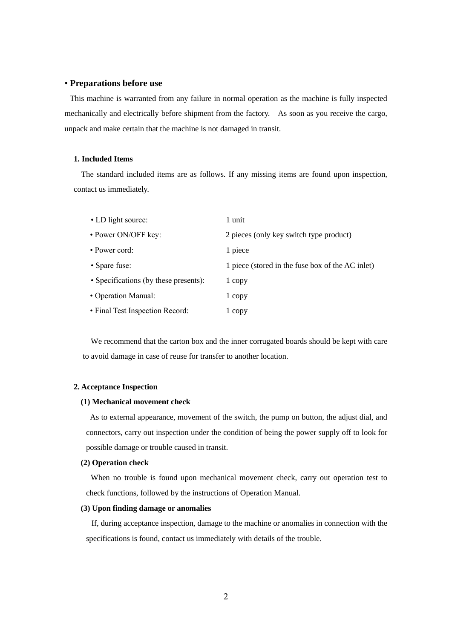#### • **Preparations before use**

This machine is warranted from any failure in normal operation as the machine is fully inspected mechanically and electrically before shipment from the factory. As soon as you receive the cargo, unpack and make certain that the machine is not damaged in transit.

#### **1. Included Items**

The standard included items are as follows. If any missing items are found upon inspection, contact us immediately.

| • LD light source:                    | 1 unit                                           |
|---------------------------------------|--------------------------------------------------|
| • Power ON/OFF key:                   | 2 pieces (only key switch type product)          |
| • Power cord:                         | 1 piece                                          |
| • Spare fuse:                         | 1 piece (stored in the fuse box of the AC inlet) |
| • Specifications (by these presents): | 1 copy                                           |
| • Operation Manual:                   | 1 copy                                           |
| • Final Test Inspection Record:       | 1 copy                                           |

We recommend that the carton box and the inner corrugated boards should be kept with care to avoid damage in case of reuse for transfer to another location.

#### **2. Acceptance Inspection**

#### **(1) Mechanical movement check**

As to external appearance, movement of the switch, the pump on button, the adjust dial, and connectors, carry out inspection under the condition of being the power supply off to look for possible damage or trouble caused in transit.

#### **(2) Operation check**

When no trouble is found upon mechanical movement check, carry out operation test to check functions, followed by the instructions of Operation Manual.

#### **(3) Upon finding damage or anomalies**

If, during acceptance inspection, damage to the machine or anomalies in connection with the specifications is found, contact us immediately with details of the trouble.